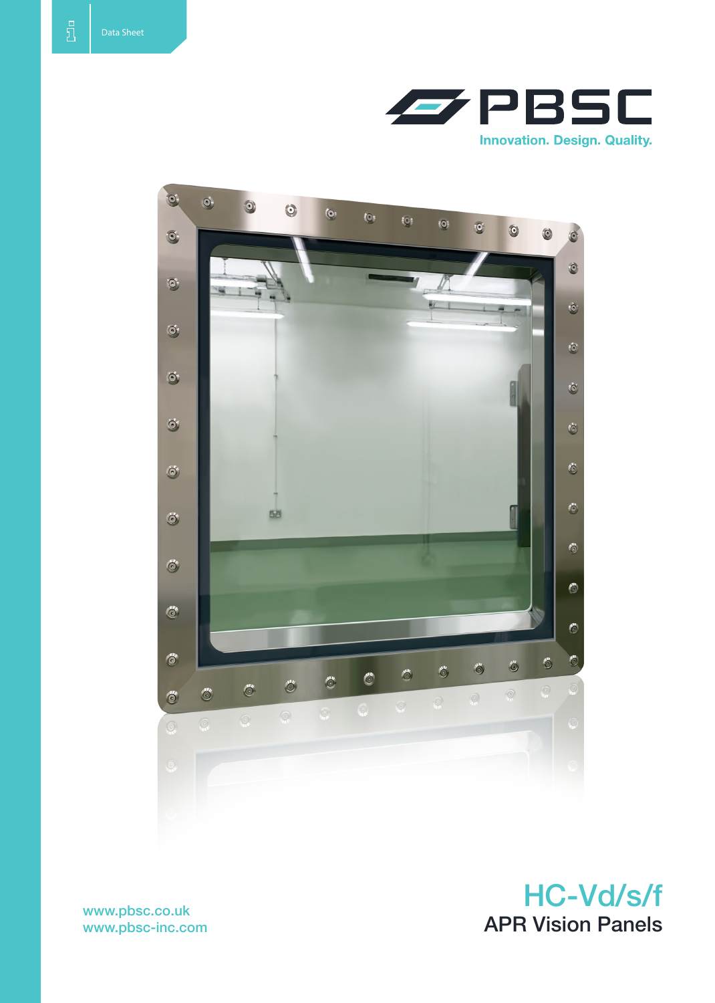



www.pbsc-inc.com

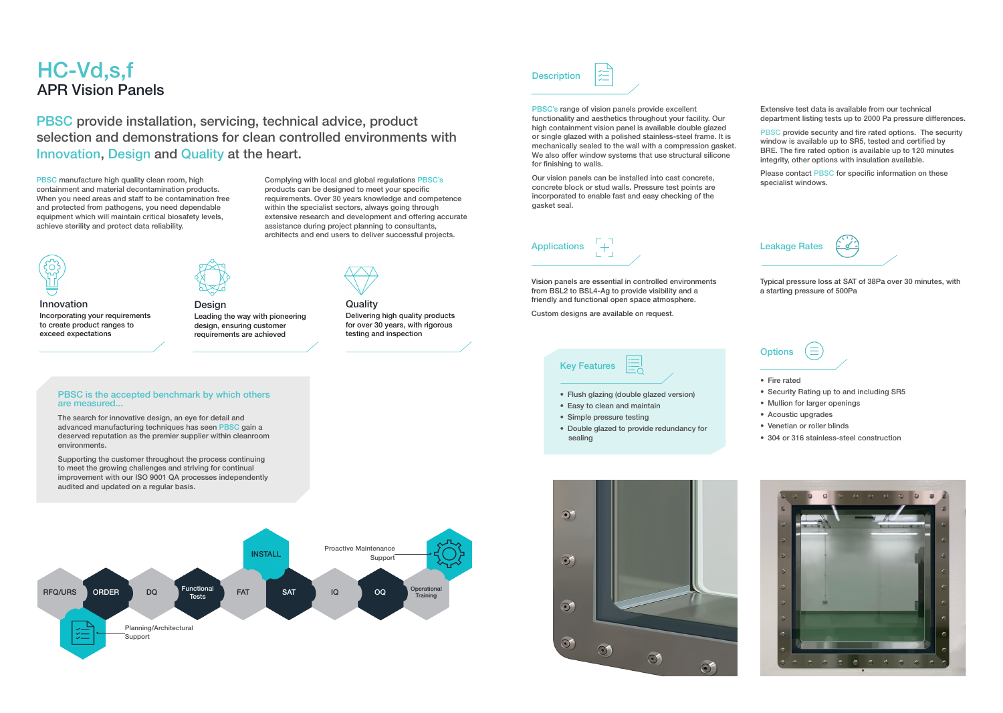# HC-Vd,s,f APR Vision Panels

PBSC's range of vision panels provide excellent functionality and aesthetics throughout your facility. Our high containment vision panel is available double glazed or single glazed with a polished stainless-steel frame. It is mechanically sealed to the wall with a compression gasket. We also offer window systems that use structural silicone for finishing to walls.

PBSC provide security and fire rated options. The security window is available up to SR5, tested and certified by BRE. The fire rated option is available up to 120 minutes integrity, other options with insulation available.

Our vision panels can be installed into cast concrete, concrete block or stud walls. Pressure test points are incorporated to enable fast and easy checking of the gasket seal.

- Flush glazing (double glazed version)
- • Easy to clean and maintain
- • Simple pressure testing
- Double glazed to provide redundancy for sealing



Extensive test data is available from our technical department listing tests up to 2000 Pa pressure differences.

Please contact PBSC for specific information on these specialist windows.

# Key Features

PBSC manufacture high quality clean room, high containment and material decontamination products. When you need areas and staff to be contamination free and protected from pathogens, you need dependable equipment which will maintain critical biosafety levels, achieve sterility and protect data reliability.



**Quality** Delivering high quality products for over 30 years, with rigorous testing and inspection

# **Description**





#### PBSC is the accepted benchmark by which others are measured...

Vision panels are essential in controlled environments from BSL2 to BSL4-Ag to provide visibility and a friendly and functional open space atmosphere.

Custom designs are available on request.

## Leakage Rates



Typical pressure loss at SAT of 38Pa over 30 minutes, with a starting pressure of 500Pa

### **Options**



- Fire rated
- Security Rating up to and including SR5
- • Mullion for larger openings
- • Acoustic upgrades
- • Venetian or roller blinds
- 304 or 316 stainless-steel construction



PBSC provide installation, servicing, technical advice, product selection and demonstrations for clean controlled environments with Innovation, Design and Quality at the heart.

> Complying with local and global regulations PBSC's products can be designed to meet your specific requirements. Over 30 years knowledge and competence within the specialist sectors, always going through extensive research and development and offering accurate assistance during project planning to consultants, architects and end users to deliver successful projects.



Innovation Incorporating your requirements to create product ranges to exceed expectations



Design Leading the way with pioneering design, ensuring customer requirements are achieved

The search for innovative design, an eye for detail and advanced manufacturing techniques has seen PBSC gain a deserved reputation as the premier supplier within cleanroom environments.

Supporting the customer throughout the process continuing to meet the growing challenges and striving for continual improvement with our ISO 9001 QA processes independently audited and updated on a regular basis.